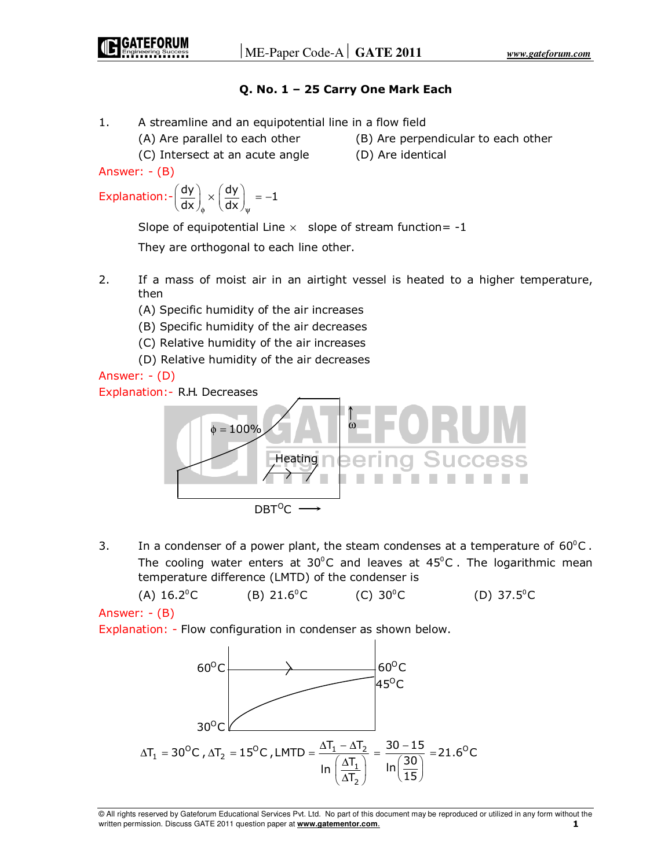# **Q. No. 1 – 25 Carry One Mark Each**

- 1. A streamline and an equipotential line in a flow field
	- (A) Are parallel to each other (B) Are perpendicular to each other

 (C) Intersect at an acute angle (D) Are identical Answer: - (B)

$$
\text{Explanation:}\left\{\frac{dy}{dx}\right\}_{\phi}\times\left(\frac{dy}{dx}\right)_{\psi}=-1
$$

Slope of equipotential Line  $\times$  slope of stream function = -1

They are orthogonal to each line other.

- 2. If a mass of moist air in an airtight vessel is heated to a higher temperature, then
	- (A) Specific humidity of the air increases
	- (B) Specific humidity of the air decreases
	- (C) Relative humidity of the air increases
	- (D) Relative humidity of the air decreases

Answer: - (D)

Explanation:- R.H. Decreases



3. In a condenser of a power plant, the steam condenses at a temperature of  $60^{\circ}$ C. The cooling water enters at 30 $\degree$ C and leaves at 45 $\degree$ C. The logarithmic mean temperature difference (LMTD) of the condenser is

(A)  $16.2^{\circ}$ C (B)  $21.6^{\circ}$ C (C)  $30^{\circ}$ C (D)  $37.5^{\circ}$ C

Answer: - (B)

Explanation: - Flow configuration in condenser as shown below.

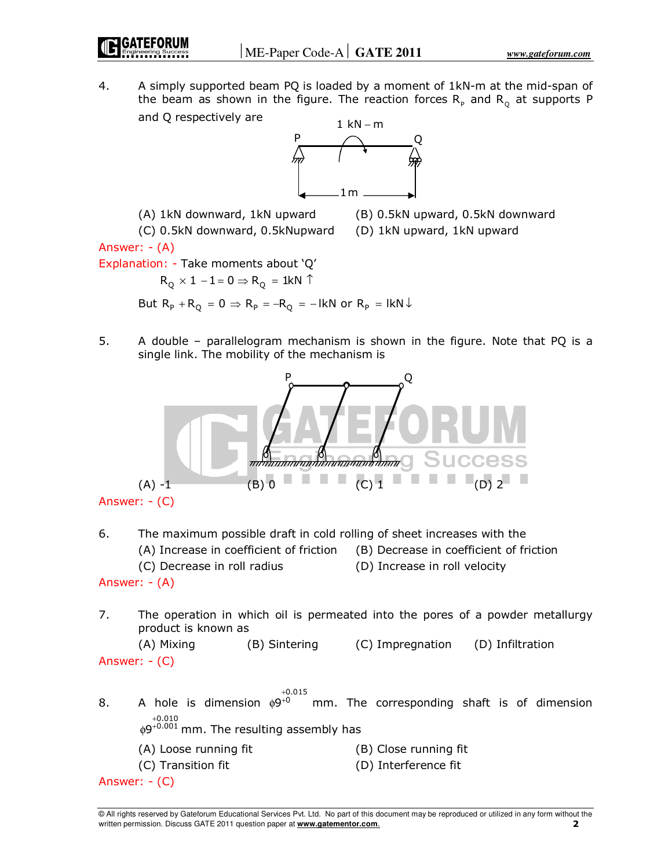4. A simply supported beam PQ is loaded by a moment of 1kN-m at the mid-span of the beam as shown in the figure. The reaction forces  $\mathsf{R}_\mathsf{p}$  and  $\mathsf{R}_\mathsf{Q}$  at supports P and Q respectively are



(A) 1kN downward, 1kN upward (B) 0.5kN upward, 0.5kN downward

 (C) 0.5kN downward, 0.5kNupward (D) 1kN upward, 1kN upward Answer: - (A)

Explanation: - Take moments about 'Q'

 $\mathsf{R}_\text{Q} \times \mathsf{1} - \mathsf{1}$  =  $\mathsf{0} \Rightarrow \mathsf{R}_\text{Q}$  = 1kN  $\uparrow$ 

But  $R_p + R_o = 0 \Rightarrow R_p = -R_o = -1kN$  or  $R_p = 1kN \downarrow$ 

5. A double – parallelogram mechanism is shown in the figure. Note that PQ is a single link. The mobility of the mechanism is



Answer: - (C)

6. The maximum possible draft in cold rolling of sheet increases with the

- (A) Increase in coefficient of friction (B) Decrease in coefficient of friction
- (C) Decrease in roll radius (D) Increase in roll velocity
- 

7. The operation in which oil is permeated into the pores of a powder metallurgy product is known as

```
 (A) Mixing (B) Sintering (C) Impregnation (D) Infiltration 
Answer: - (C)
```
8. A hole is dimension  $\stackrel{+0}{\mathsf{p}}\stackrel{+0}{\mathsf{p}}$ 0.015 mm. The corresponding shaft is of dimension  $\phi$ 9<sup>+0.010</sup> mm. The resulting assembly has (A) Loose running fit (B) Close running fit (C) Transition fit (D) Interference fit Answer: - (C)

Answer: - (A)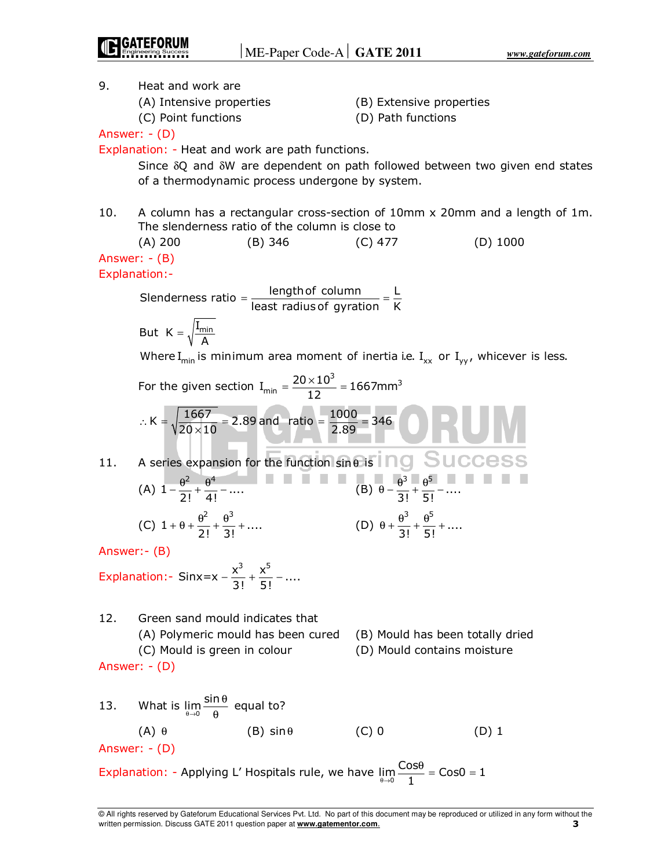9. Heat and work are (A) Intensive properties (B) Extensive properties (C) Point functions (D) Path functions Answer: - (D) Explanation: - Heat and work are path functions. Since δQ and δW are dependent on path followed between two given end states of a thermodynamic process undergone by system. 10. A column has a rectangular cross-section of 10mm x 20mm and a length of 1m. The slenderness ratio of the column is close to (A) 200 (B) 346 (C) 477 (D) 1000 Answer: - (B) Explanation:- Slenderness ratio =  $\frac{\text{length of column}}{\text{least radius of gyration}} = \frac{\text{L}}{\text{K}}$ But  $K = \sqrt{\frac{I_{\text{min}}}{A}}$ Where I<sub>min</sub> is minimum area moment of inertia i.e. I<sub>xx</sub> or I<sub>yy</sub>, whicever is less. For the given section  $I_{min} = \frac{20 \times 10^3}{12} = 1667$ mm $^3$ ∴ K =  $\sqrt{\frac{1667}{20 \times 10}}$  = 2.89 and ratio =  $\frac{1000}{2.89}$  = 346 11. A series expansion for the function  $\sin\theta$  is  $\overline{1}$  ng  $\overline{S}$  u CCeSS (A) 2  $\alpha^4$  $1 - \frac{6}{2!} + \frac{6}{4!} - \dots$  $-\frac{\theta^2}{\theta^3} + \frac{\theta^4}{\theta^5} - \dots$  (B)  $\theta - \frac{\theta^3}{\theta^5} + \frac{\theta^5}{\theta^5}$  $\frac{6}{3!} + \frac{6}{5!} - \dots$  $\theta - \frac{\theta^3 - \theta^5}{\theta^3 + \theta^5}$  $(C)$ 2  $\alpha^3$  $1 + \theta + \frac{\theta^2}{2!} + \frac{\theta^3}{3!} + \dots$  (D) 3  $\alpha$ <sup>5</sup>  $\frac{6}{3!} + \frac{6}{5!} + \dots$  $\theta + \frac{\theta^3}{2!} + \frac{\theta^5}{5!} +$ Answer:- (B) Explanation:  $\text{Sinx} = x - \frac{x^3}{3!} + \frac{x^5}{5!} - \dots$ −  $\frac{2}{2}$ , +  $\frac{2}{2}$ , − 12. Green sand mould indicates that (A) Polymeric mould has been cured (B) Mould has been totally dried (C) Mould is green in colour (D) Mould contains moisture Answer: - (D) 13. What is  $\lim_{\theta \to 0} \frac{\sin \theta}{\theta}$  $\frac{10}{9}$  equal to? (A)  $\theta$  (B) sin $\theta$  (C) 0 (D) 1 Answer: - (D) Explanation: - Applying L' Hospitals rule, we have  $\lim_{\theta \to 0} \frac{\text{Cos}\theta}{1} = \text{Cos}0 = 1$  $\frac{\theta}{\theta}$  = Cos0 =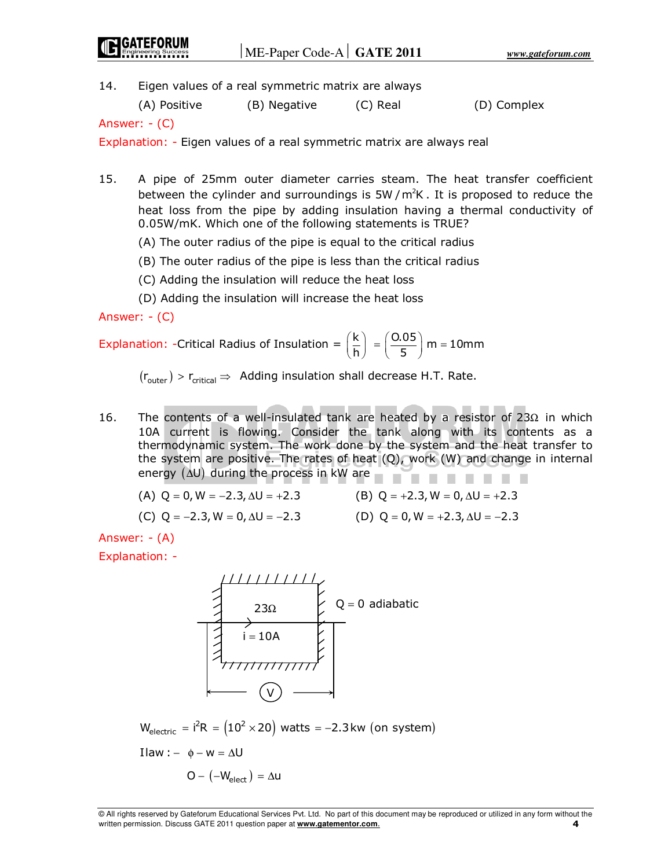14. Eigen values of a real symmetric matrix are always

(A) Positive (B) Negative (C) Real (D) Complex

Answer: - (C)

Explanation: - Eigen values of a real symmetric matrix are always real

- 15. A pipe of 25mm outer diameter carries steam. The heat transfer coefficient between the cylinder and surroundings is 5W/ $m<sup>2</sup>K$ . It is proposed to reduce the heat loss from the pipe by adding insulation having a thermal conductivity of 0.05W/mK. Which one of the following statements is TRUE?
	- (A) The outer radius of the pipe is equal to the critical radius
	- (B) The outer radius of the pipe is less than the critical radius
	- (C) Adding the insulation will reduce the heat loss
	- (D) Adding the insulation will increase the heat loss

Answer: - (C)

Explanation: -Critical Radius of Insulation =  $\left(\frac{k}{h}\right) = \left(\frac{0.05}{5}\right)$  m = 10mm  $=\left(\frac{0.05}{5}\right)$  m =

 $(r_{\text{outer}}) > r_{\text{critical}} \Rightarrow$  Adding insulation shall decrease H.T. Rate.

- 16. The contents of a well-insulated tank are heated by a resistor of 23 $Ω$  in which 10A current is flowing. Consider the tank along with its contents as a thermodynamic system. The work done by the system and the heat transfer to the system are positive. The rates of heat (Q), work (W) and change in internal energy (∆U) during the process in kW are
	- (A)  $Q = 0$ ,  $W = -2.3$ ,  $\Delta U = +2.3$  (B)  $Q = +2.3$ ,  $W = 0$ ,  $\Delta U = +2.3$

(C) 
$$
Q = -2.3
$$
,  $W = 0$ ,  $\Delta U = -2.3$ 

(D)  $Q = 0$ , W = +2.3,  $\Delta U = -2.3$ 

Answer: - (A)

Explanation: -



 $O - (-W_{\text{short}}) = \Delta U$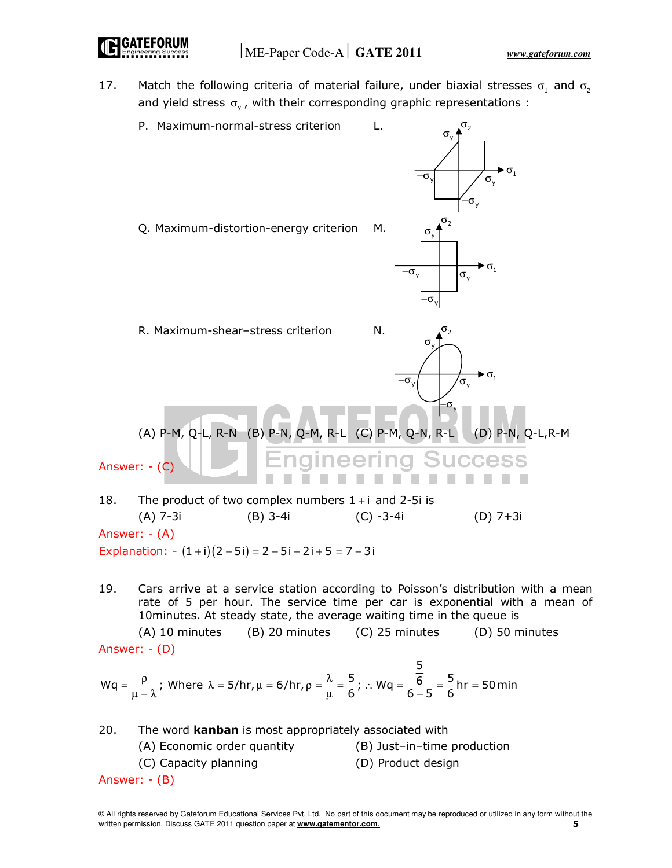17. Match the following criteria of material failure, under biaxial stresses  $\sigma_1$  and  $\sigma_2$ and yield stress  $\sigma_{y}$ , with their corresponding graphic representations :



Answer: - (A)

Explanation:  $-(1+i)(2-5i) = 2-5i+2i+5 = 7-3i$ 

19. Cars arrive at a service station according to Poisson's distribution with a mean rate of 5 per hour. The service time per car is exponential with a mean of 10minutes. At steady state, the average waiting time in the queue is

 (A) 10 minutes (B) 20 minutes (C) 25 minutes (D) 50 minutes Answer: - (D)

$$
Wq = \frac{ρ}{μ - λ}
$$
; Where λ = 5/hr, μ = 6/hr, ρ =  $\frac{λ}{μ} = \frac{5}{6}$ ; ∴ Wq =  $\frac{\frac{5}{6}}{6-5} = \frac{5}{6}$ hr = 50 min

| 20.           | The word <b>kanban</b> is most appropriately associated with |                             |
|---------------|--------------------------------------------------------------|-----------------------------|
|               | (A) Economic order quantity                                  | (B) Just-in-time production |
|               | (C) Capacity planning                                        | (D) Product design          |
| Answer: - (B) |                                                              |                             |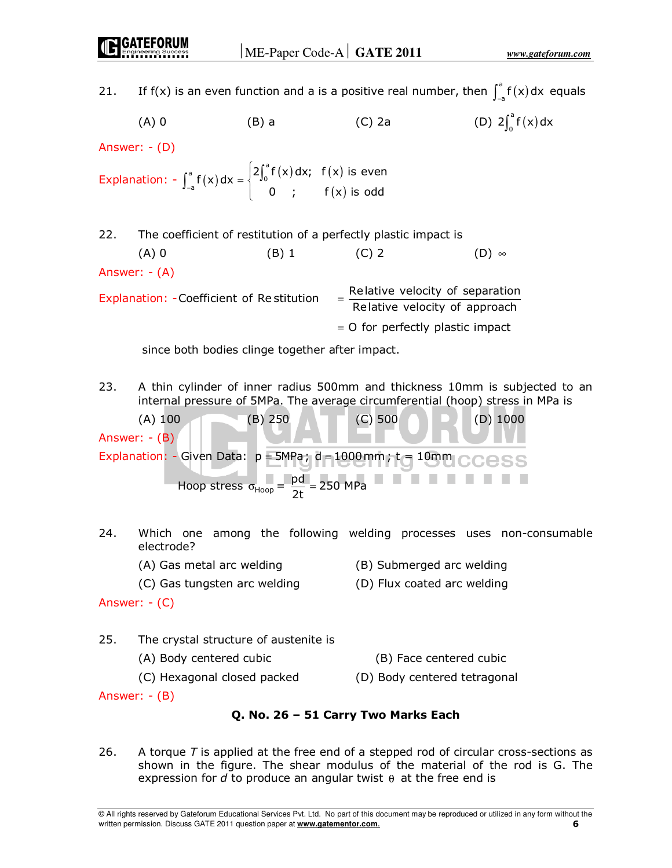| 21. |                                                                                                                                             |         | If f(x) is an even function and a is a positive real number, then $\int_{-a}^{a} f(x) dx$ equals                                 |                                                                             |
|-----|---------------------------------------------------------------------------------------------------------------------------------------------|---------|----------------------------------------------------------------------------------------------------------------------------------|-----------------------------------------------------------------------------|
|     | $(A)$ 0                                                                                                                                     | $(B)$ a | $(C)$ 2a                                                                                                                         | (D) $2\int_{0}^{a} f(x) dx$                                                 |
|     | Answer: $-(D)$                                                                                                                              |         |                                                                                                                                  |                                                                             |
|     | Explanation: $-\int_{-a}^{a} f(x) dx = \begin{cases} 2\int_{0}^{a} f(x) dx; & f(x) \text{ is even} \\ 0; & f(x) \text{ is odd} \end{cases}$ |         |                                                                                                                                  |                                                                             |
| 22. |                                                                                                                                             |         | The coefficient of restitution of a perfectly plastic impact is                                                                  |                                                                             |
|     | $(A)$ 0                                                                                                                                     | (B) 1   | $(C)$ 2                                                                                                                          | $(D)$ $\infty$                                                              |
|     | Answer: $-(A)$                                                                                                                              |         |                                                                                                                                  |                                                                             |
|     | Explanation: - Coefficient of Restitution                                                                                                   |         | = Relative velocity of separation<br>Relative velocity of approach                                                               |                                                                             |
|     |                                                                                                                                             |         | $=$ O for perfectly plastic impact                                                                                               |                                                                             |
|     | since both bodies clinge together after impact.                                                                                             |         |                                                                                                                                  |                                                                             |
| 23. |                                                                                                                                             |         | internal pressure of 5MPa. The average circumferential (hoop) stress in MPa is                                                   | A thin cylinder of inner radius 500mm and thickness 10mm is subjected to an |
|     | $(A)$ 100<br>Answer: $-(B)$                                                                                                                 | (B) 250 | $(C)$ 500                                                                                                                        | $(D)$ 1000                                                                  |
|     |                                                                                                                                             |         |                                                                                                                                  |                                                                             |
|     |                                                                                                                                             |         | Explanation: - Given Data: $p = 5MPa$ ; $d = 1000mm$ ; $t = 10mm$ CCCSS<br>Hoop stress $\sigma_{Hoop} = \frac{pd}{2t} = 250 MPa$ |                                                                             |
| 24. | electrode?                                                                                                                                  |         |                                                                                                                                  | Which one among the following welding processes uses non-consumable         |
|     | (A) Gas metal arc welding                                                                                                                   |         | (B) Submerged arc welding                                                                                                        |                                                                             |
|     | (C) Gas tungsten arc welding                                                                                                                |         | (D) Flux coated arc welding                                                                                                      |                                                                             |
|     | Answer: $-(C)$                                                                                                                              |         |                                                                                                                                  |                                                                             |
| 25. | The crystal structure of austenite is                                                                                                       |         |                                                                                                                                  |                                                                             |
|     | (A) Body centered cubic                                                                                                                     |         | (B) Face centered cubic                                                                                                          |                                                                             |
|     | (C) Hexagonal closed packed                                                                                                                 |         | (D) Body centered tetragonal                                                                                                     |                                                                             |

# **Q. No. 26 – 51 Carry Two Marks Each**

26. A torque *T* is applied at the free end of a stepped rod of circular cross-sections as shown in the figure. The shear modulus of the material of the rod is G. The expression for *d* to produce an angular twist θ at the free end is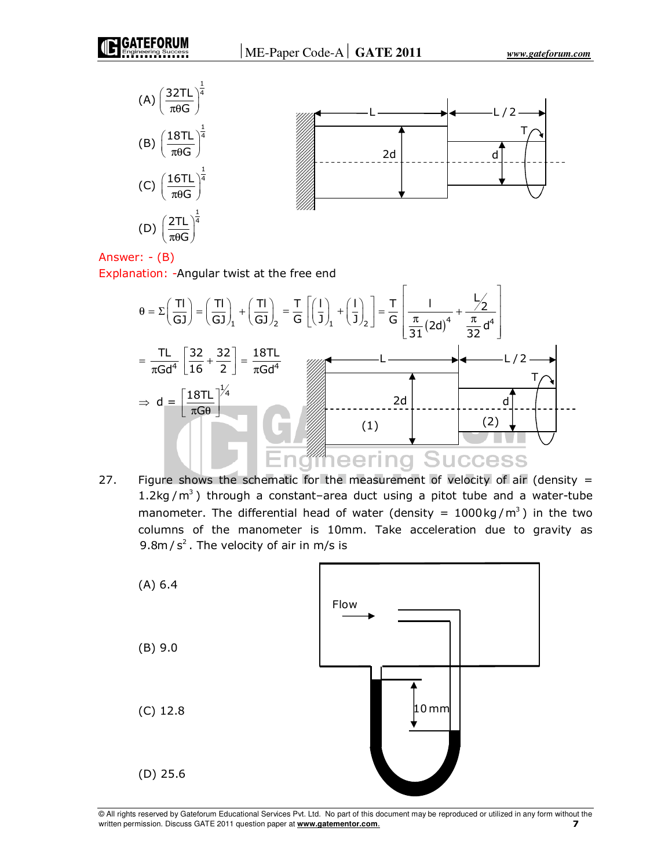





Explanation: -Angular twist at the free end



27. Figure shows the schematic for the measurement of velocity of air (density  $=$ 1.2kg/ $m^3$ ) through a constant–area duct using a pitot tube and a water-tube manometer. The differential head of water (density =  $1000 \text{kg/m}^3$ ) in the two columns of the manometer is 10mm. Take acceleration due to gravity as 9.8m /  $s^2$ . The velocity of air in m/s is

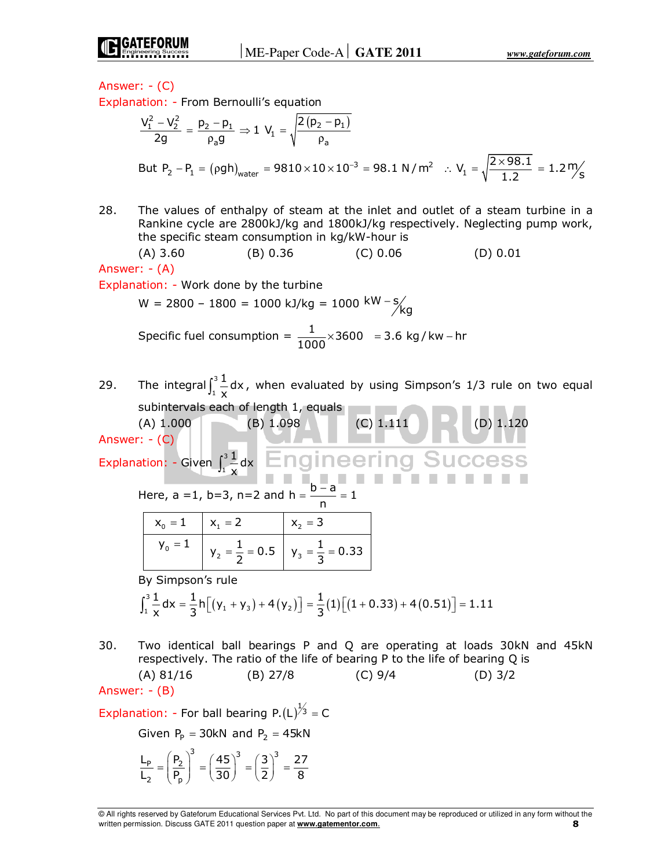

Explanation: - From Bernoulli's equation

$$
\frac{V_1^2 - V_2^2}{2g} = \frac{p_2 - p_1}{\rho_a g} \Rightarrow 1 \ V_1 = \sqrt{\frac{2(p_2 - p_1)}{\rho_a}}
$$
  
But  $P_2 - P_1 = (\rho gh)_{water} = 9810 \times 10 \times 10^{-3} = 98.1 \ N/m^2 \ :: V_1 = \sqrt{\frac{2 \times 98.1}{1.2}} = 1.2 \frac{m}{s}$ 

28. The values of enthalpy of steam at the inlet and outlet of a steam turbine in a Rankine cycle are 2800kJ/kg and 1800kJ/kg respectively. Neglecting pump work, the specific steam consumption in kg/kW-hour is

 (A) 3.60 (B) 0.36 (C) 0.06 (D) 0.01 Answer: - (A)

Explanation: - Work done by the turbine

W = 2800 - 1800 = 1000 kJ/kg = 1000 kW - s/  
Specific fuel consumption = 
$$
\frac{1}{1000} \times 3600 = 3.6 \text{ kg/kw} - \text{hr}
$$

29. The integral $\int_1^3$  $\int_{1}^{3} \frac{1}{x} dx$ , when evaluated by using Simpson's 1/3 rule on two equal subintervals each of length 1, equals

(A)  $1.000$  (B)  $1.098$  (C)  $1.111$  (D)  $1.120$ Answer: - (C) Explanation: - Given  $\int_1^3$ 1 dx  $\int_1^3 \frac{1}{x}$ −

Here, 
$$
a = 1
$$
,  $b = 3$ ,  $n = 2$  and  $h = \frac{b - a}{n} = 1$ 

| $x_0 = 1$ | $x_1 = 2$ | $x_2 = 3$                                            |
|-----------|-----------|------------------------------------------------------|
| $y_0 = 1$ |           | $y_2 = \frac{1}{2} = 0.5$ $y_3 = \frac{1}{3} = 0.33$ |

By Simpson's rule

$$
\int_{1}^{3} \frac{1}{x} dx = \frac{1}{3} h \Big[ \big( y_1 + y_3 \big) + 4 \big( y_2 \big) \Big] = \frac{1}{3} (1) \Big[ \big( 1 + 0.33 \big) + 4 \big( 0.51 \big) \Big] = 1.11
$$

30. Two identical ball bearings P and Q are operating at loads 30kN and 45kN respectively. The ratio of the life of bearing P to the life of bearing Q is

(A) 81/16 (B) 27/8 (C) 9/4 (D) 3/2

Answer: - (B)

Explanation: - For ball bearing P.(L) $\frac{1}{3}$  = C

Given  $P_P = 30kN$  and  $P_2 = 45kN$ 

$$
\frac{L_p}{L_2} = \left(\frac{P_2}{P_p}\right)^3 = \left(\frac{45}{30}\right)^3 = \left(\frac{3}{2}\right)^3 = \frac{27}{8}
$$

<sup>©</sup> All rights reserved by Gateforum Educational Services Pvt. Ltd. No part of this document may be reproduced or utilized in any form without the written permission. Discuss GATE 2011 question paper at **www.gatementor.com**. **8**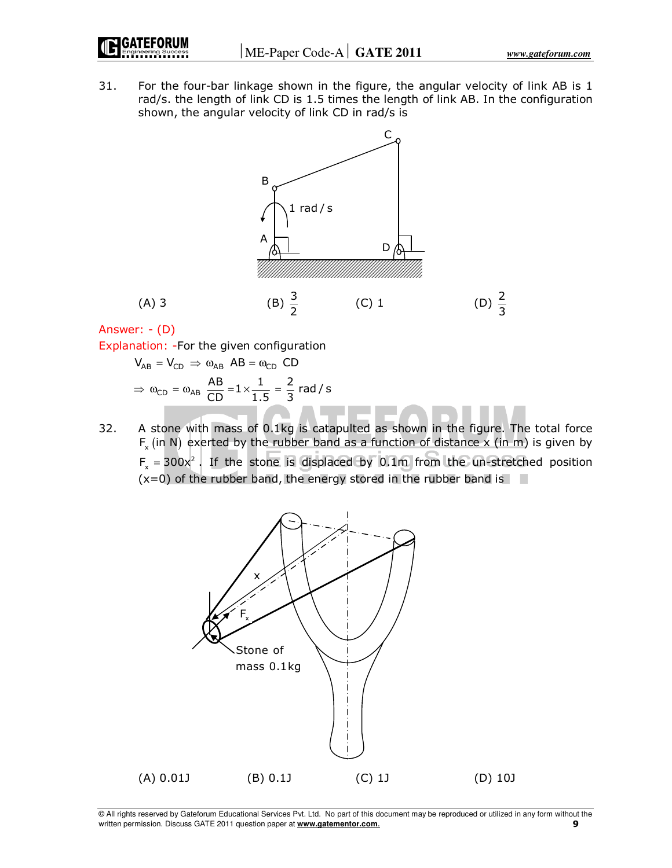31. For the four-bar linkage shown in the figure, the angular velocity of link AB is 1 rad/s. the length of link CD is 1.5 times the length of link AB. In the configuration shown, the angular velocity of link CD in rad/s is



Answer: - (D)

Explanation: -For the given configuration

 $V_{AB} = V_{CD} \Rightarrow \omega_{AB} AB = \omega_{CD} CD$  $\Rightarrow \omega_{CD} = \omega_{AB} \frac{AB}{CD} = 1 \times \frac{1}{1.5} = \frac{2}{3}$  rad / s

32. A stone with mass of 0.1kg is catapulted as shown in the figure. The total force  $F_{\sf x}$  (in N) exerted by the rubber band as a function of distance x (in m) is given by  $F_x = 300x^2$ . If the stone is displaced by 0.1m from the un-stretched position  $(x=0)$  of the rubber band, the energy stored in the rubber band is

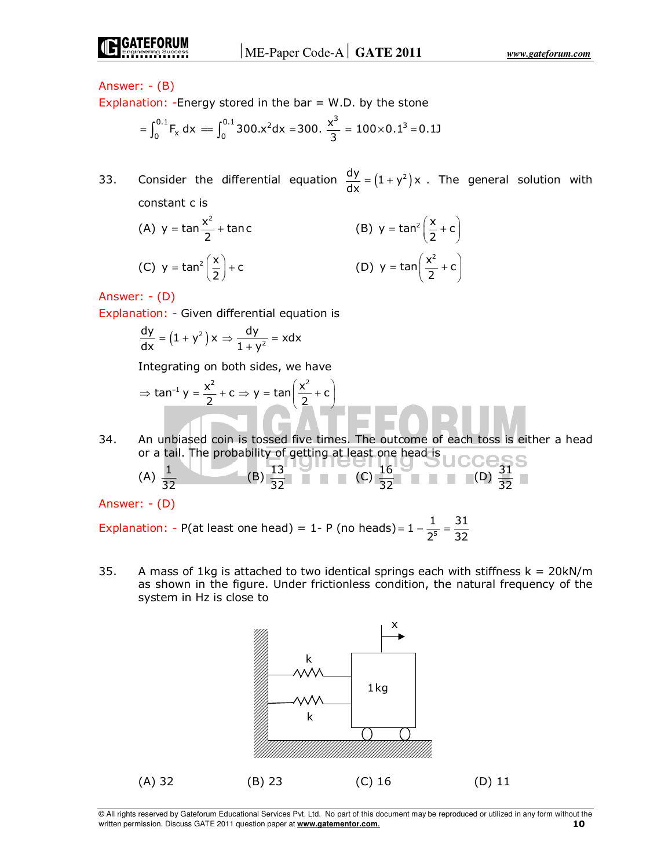Explanation: -Energy stored in the bar  $=$  W.D. by the stone

$$
= \int_0^{0.1} F_x dx = \int_0^{0.1} 300 \cdot x^2 dx = 300. \frac{x^3}{3} = 100 \times 0.1^3 = 0.1J
$$

33. Consider the differential equation  $\frac{dy}{dx} = (1 + y^2)x$ . The general solution with constant c is

(A) 
$$
y = \tan \frac{x^2}{2} + \tan c
$$
  
\n(B)  $y = \tan^2 \left(\frac{x}{2} + c\right)$   
\n(C)  $y = \tan^2 \left(\frac{x}{2}\right) + c$   
\n(D)  $y = \tan \left(\frac{x^2}{2} + c\right)$ 

Answer: - (D)

Explanation: - Given differential equation is

$$
\frac{dy}{dx} = (1 + y^2) x \Rightarrow \frac{dy}{1 + y^2} = x dx
$$

Integrating on both sides, we have

$$
\Rightarrow \tan^{-1} y = \frac{x^2}{2} + c \Rightarrow y = \tan\left(\frac{x^2}{2} + c\right)
$$

34. An unbiased coin is tossed five times. The outcome of each toss is either a head or a tail. The probability of getting at least one head is

(A) 
$$
\frac{1}{32}
$$
 (B)  $\frac{13}{32}$  (C)  $\frac{16}{32}$  (D)  $\frac{31}{32}$ 

Answer: - (D)

Explanation: - P(at least one head) = 1- P (no heads)=  $1 - \frac{1}{2^5}$ 2  $= 1 - \frac{1}{55} = \frac{31}{25}$ 32 =

35. A mass of 1kg is attached to two identical springs each with stiffness  $k = 20kN/m$ as shown in the figure. Under frictionless condition, the natural frequency of the system in Hz is close to



<sup>©</sup> All rights reserved by Gateforum Educational Services Pvt. Ltd. No part of this document may be reproduced or utilized in any form without the written permission. Discuss GATE 2011 question paper at **www.gatementor.com**. **10**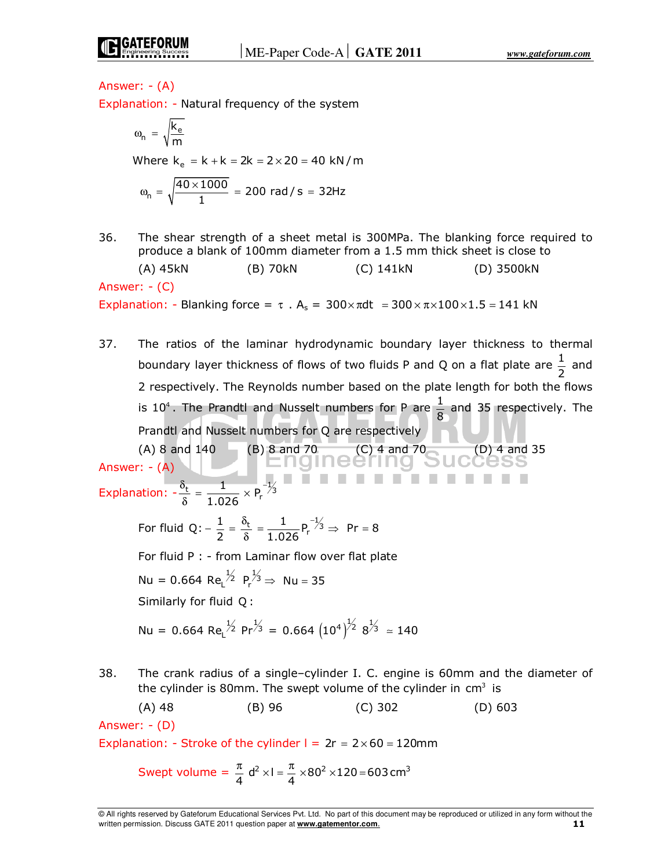Explanation: - Natural frequency of the system

$$
\omega_n = \sqrt{\frac{k_e}{m}}
$$
  
Where  $k_e = k + k = 2k = 2 \times 20 = 40 \text{ kN/m}$   

$$
\omega_n = \sqrt{\frac{40 \times 1000}{1}} = 200 \text{ rad/s} = 32 \text{ Hz}
$$

36. The shear strength of a sheet metal is 300MPa. The blanking force required to produce a blank of 100mm diameter from a 1.5 mm thick sheet is close to

 (A) 45kN (B) 70kN (C) 141kN (D) 3500kN Answer: - (C) Explanation: - Blanking force =  $\tau$ .  $A_s = 300 \times \pi dt = 300 \times \pi \times 100 \times 1.5 = 141$  kN

37. The ratios of the laminar hydrodynamic boundary layer thickness to thermal boundary layer thickness of flows of two fluids P and Q on a flat plate are  $\frac{1}{2}$  and 2 respectively. The Reynolds number based on the plate length for both the flows is 10<sup>4</sup>. The Prandtl and Nusselt numbers for P are  $\frac{1}{8}$  and 35 respectively. The Prandtl and Nusselt numbers for Q are respectively

 (A) 8 and 140 (B) 8 and 70 (C) 4 and 70 (D) 4 and 35 Answer: - (A) Explanation:  $-\frac{\delta_t}{s} = \frac{1}{1.036} \times P_r^{-1/3}$  $\frac{1}{1.026} \times P$  $\frac{\delta_{\rm t}}{\delta} = \frac{1}{1.026} \times P_{\rm r}^{-1}$ For fluid Q:  $-\frac{1}{2} = \frac{\delta_t}{\delta} = \frac{1}{1.026} P_r^{-\frac{1}{3}}$  $-\frac{1}{2} = \frac{\delta_t}{\delta} = \frac{1}{1.026} P_r^{-\frac{1}{3}} \Rightarrow Pr = 8$ For fluid P : - from Laminar flow over flat plate Nu = 0.664 Re $1^{1/2}$  P<sub>r</sub><sup>1/3</sup>  $\Rightarrow$  Nu = 35 Similarly for fluid Q : Nu = 0.664 Re $^{1/2}$  Pr<sup>1/3</sup> = 0.664  $(10^4)^{1/2}$  8<sup>1/3</sup> = 140 38. The crank radius of a single–cylinder I. C. engine is 60mm and the diameter of the cylinder is 80mm. The swept volume of the cylinder in  $cm<sup>3</sup>$  is

 (A) 48 (B) 96 (C) 302 (D) 603 Answer: - (D) Explanation: - Stroke of the cylinder  $l = 2r = 2 \times 60 = 120$ mm

$$
Swept volume = \frac{\pi}{4} d^2 \times I = \frac{\pi}{4} \times 80^2 \times 120 = 603 \text{ cm}^3
$$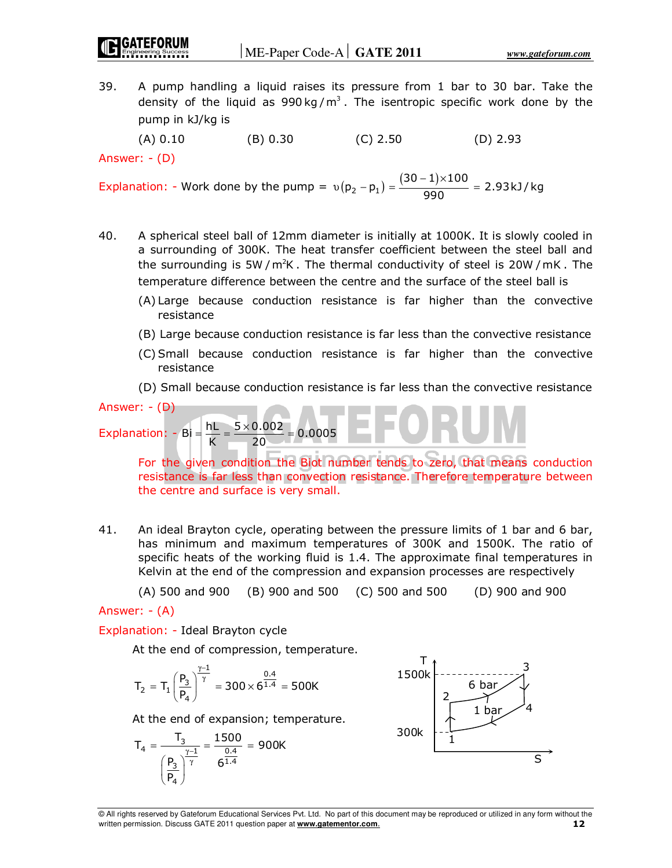39. A pump handling a liquid raises its pressure from 1 bar to 30 bar. Take the density of the liquid as  $990 \text{ kg/m}^3$ . The isentropic specific work done by the pump in kJ/kg is

(A) 0.10 (B) 0.30 (C) 2.50 (D) 2.93

Answer: - (D)

Explanation: - Work done by the pump =  $v(p_2 - p_1) = \frac{(30-1) \times 100}{990} = 2.93 \text{ kJ/kg}$  $=\frac{(30-1)\times 100}{200}=$ 

- 40. A spherical steel ball of 12mm diameter is initially at 1000K. It is slowly cooled in a surrounding of 300K. The heat transfer coefficient between the steel ball and the surrounding is 5W /  $m^2K$ . The thermal conductivity of steel is 20W /  $mK$ . The temperature difference between the centre and the surface of the steel ball is
	- (A) Large because conduction resistance is far higher than the convective resistance
	- (B) Large because conduction resistance is far less than the convective resistance
	- (C) Small because conduction resistance is far higher than the convective resistance
	- (D) Small because conduction resistance is far less than the convective resistance

Answer: - (D)

Explanation:  $-Bi = \frac{hL}{K} = \frac{5 \times 0.002}{20} = 0.0005$ 

 For the given condition the Biot number tends to zero, that means conduction resistance is far less than convection resistance. Therefore temperature between the centre and surface is very small.

41. An ideal Brayton cycle, operating between the pressure limits of 1 bar and 6 bar, has minimum and maximum temperatures of 300K and 1500K. The ratio of specific heats of the working fluid is 1.4. The approximate final temperatures in Kelvin at the end of the compression and expansion processes are respectively

(A) 500 and 900 (B) 900 and 500 (C) 500 and 500 (D) 900 and 900

Answer: - (A)

Explanation: - Ideal Brayton cycle

At the end of compression, temperature.

$$
T_2 = T_1 \left(\frac{P_3}{P_4}\right)^{\frac{\gamma-1}{\gamma}} = 300 \times 6^{\frac{0.4}{1.4}} = 500K
$$

At the end of expansion; temperature.

$$
T_4 = \frac{T_3}{\left(\frac{P_3}{P_4}\right)^{\frac{\gamma - 1}{\gamma}}} = \frac{1500}{6^{\frac{0.4}{1.4}}} = 900K
$$

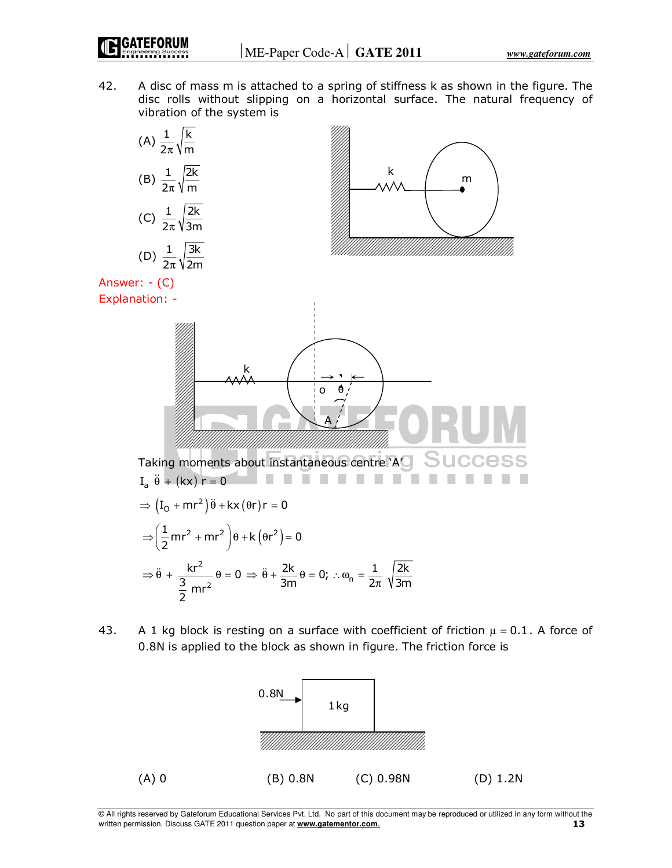42. A disc of mass m is attached to a spring of stiffness k as shown in the figure. The disc rolls without slipping on a horizontal surface. The natural frequency of vibration of the system is



$$
\Rightarrow \ddot{\theta} + \frac{kr^2}{\frac{3}{2}mr^2} \theta = 0 \Rightarrow \ddot{\theta} + \frac{2k}{3m} \theta = 0; \therefore \omega_n = \frac{1}{2\pi} \sqrt{\frac{2k}{3m}}
$$

43. A 1 kg block is resting on a surface with coefficient of friction  $\mu = 0.1$ . A force of 0.8N is applied to the block as shown in figure. The friction force is



<sup>©</sup> All rights reserved by Gateforum Educational Services Pvt. Ltd. No part of this document may be reproduced or utilized in any form without the written permission. Discuss GATE 2011 question paper at **www.gatementor.com**. **13**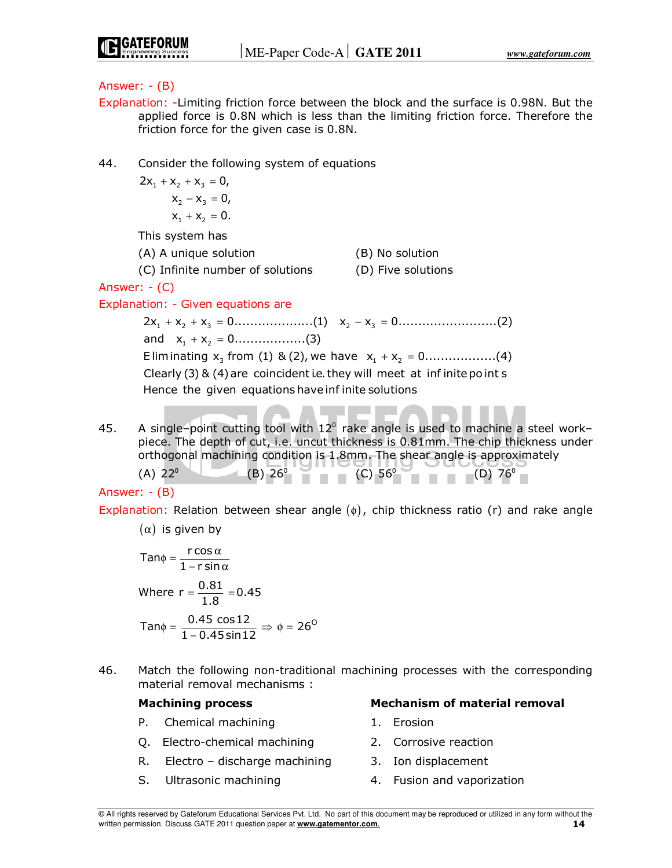- Explanation: -Limiting friction force between the block and the surface is 0.98N. But the applied force is 0.8N which is less than the limiting friction force. Therefore the friction force for the given case is 0.8N.
- 44. Consider the following system of equations

$$
2x1 + x2 + x3 = 0,x2 - x3 = 0,x1 + x2 = 0.
$$

This system has

| (A) A unique solution          | $(B)$ No   |
|--------------------------------|------------|
| $\mathcal{L} \cap \mathcal{L}$ | $\sqrt{2}$ |

(C) Infinite number of solutions (D) Five solutions

o solution

Answer: - (C)

# Explanation: - Given equations are

1 2 3 2 3 2x x x 0....................(1) x x 0.........................(2) + + = − = and  $x_1 + x_2 = 0$ ..................(3) Eliminating  $x_3$  from (1) & (2), we have  $x_1 + x_2 = 0$ ..................(4) Clearly (3) & (4) are coincident i.e. they will meet at infinite point s Hence the given equations have inf inite solutions

45. A single–point cutting tool with  $12^{\circ}$  rake angle is used to machine a steel work– piece. The depth of cut, i.e. uncut thickness is 0.81mm. The chip thickness under orthogonal machining condition is 1.8mm. The shear angle is approximately (A)  $22^{\circ}$  (B)  $26^{\circ}$  (C)  $56^{\circ}$  (D)  $76^{\circ}$ 

Answer: - (B)

Explanation: Relation between shear angle  $(\phi)$ , chip thickness ratio (r) and rake angle

 $(α)$  is given by

$$
\tan\phi = \frac{r\cos\alpha}{1 - r\sin\alpha}
$$
  
Where  $r = \frac{0.81}{1.8} = 0.45$   
Tan $\phi = \frac{0.45 \cos 12}{1 - 0.45 \sin 12} \Rightarrow \phi = 26^\circ$ 

46. Match the following non-traditional machining processes with the corresponding material removal mechanisms :

- P. Chemical machining and the series of the Erosion
- Q. Electro-chemical machining 2. Corrosive reaction
- R. Electro discharge machining 3. Ion displacement
- 
- **Machining process Mechanism of material removal** 
	-
	-
	-
- S. Ultrasonic machining and the state of the state of the SI state of the SI state of the SI state of the SI state of the SI state of the SI state of the SI state of the SI state of the SI state of the SI state of the SI s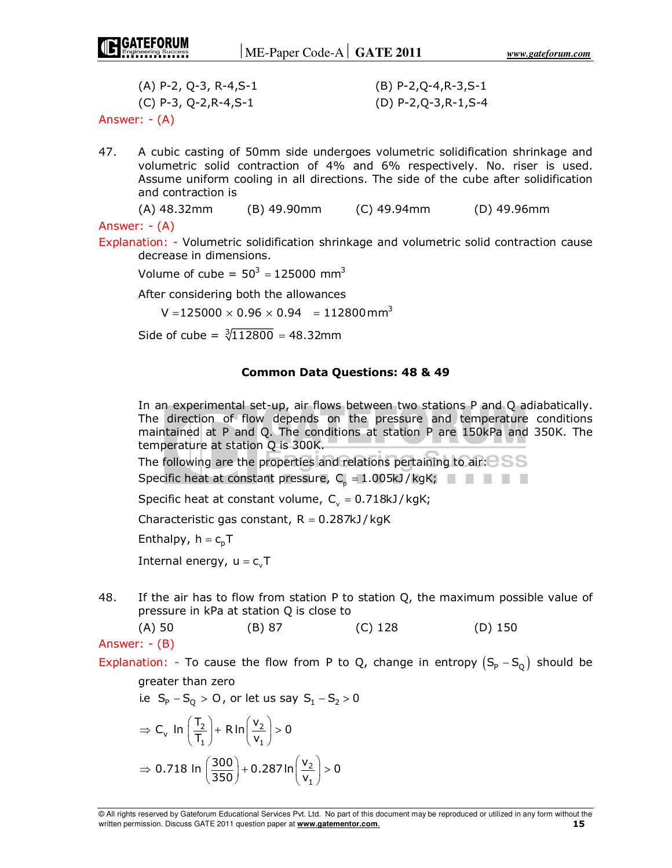| $(A)$ P-2, Q-3, R-4,S-1 | $(B)$ P-2,Q-4,R-3,S-1 |
|-------------------------|-----------------------|
| (C) P-3, Q-2,R-4,S-1    | (D) P-2,Q-3,R-1,S-4   |
| Answer: - (A)           |                       |

47. A cubic casting of 50mm side undergoes volumetric solidification shrinkage and volumetric solid contraction of 4% and 6% respectively. No. riser is used. Assume uniform cooling in all directions. The side of the cube after solidification and contraction is

```
 (A) 48.32mm (B) 49.90mm (C) 49.94mm (D) 49.96mm
```
Answer: - (A)

Explanation: - Volumetric solidification shrinkage and volumetric solid contraction cause decrease in dimensions.

Volume of cube =  $50^3 = 125000$  mm<sup>3</sup>

After considering both the allowances

<code>V</code> =125000  $\times$  0.96  $\times$  0.94  $~$  = 112800mm $^{3}$ 

Side of cube =  $\sqrt[3]{112800}$  = 48.32mm

#### **Common Data Questions: 48 & 49**

 In an experimental set-up, air flows between two stations P and Q adiabatically. The direction of flow depends on the pressure and temperature conditions maintained at P and Q. The conditions at station P are 150kPa and 350K. The temperature at station Q is 300K.

The following are the properties and relations pertaining to air:  $\approx$  SSS

Specific heat at constant pressure,  $C_{p} = 1.005kJ/kgK;$ 

Specific heat at constant volume,  $C_v = 0.718kJ/kgK;$ 

Characteristic gas constant,  $R = 0.287kJ/kgK$ 

Enthalpy,  $h = c_p T$ 

Internal energy,  $u = c_vT$ 

48. If the air has to flow from station P to station Q, the maximum possible value of pressure in kPa at station Q is close to

(A) 50 (B) 87 (C) 128 (D) 150

Answer: - (B)

Explanation: - To cause the flow from P to Q, change in entropy  $(S_p - S_o)$  should be

greater than zero

i.e 
$$
S_p - S_Q > 0
$$
, or let us say  $S_1 - S_2 > 0$ 

$$
\Rightarrow C_v \ln\left(\frac{T_2}{T_1}\right) + R \ln\left(\frac{v_2}{v_1}\right) > 0
$$
  

$$
\Rightarrow 0.718 \ln\left(\frac{300}{350}\right) + 0.287 \ln\left(\frac{v_2}{v_1}\right) > 0
$$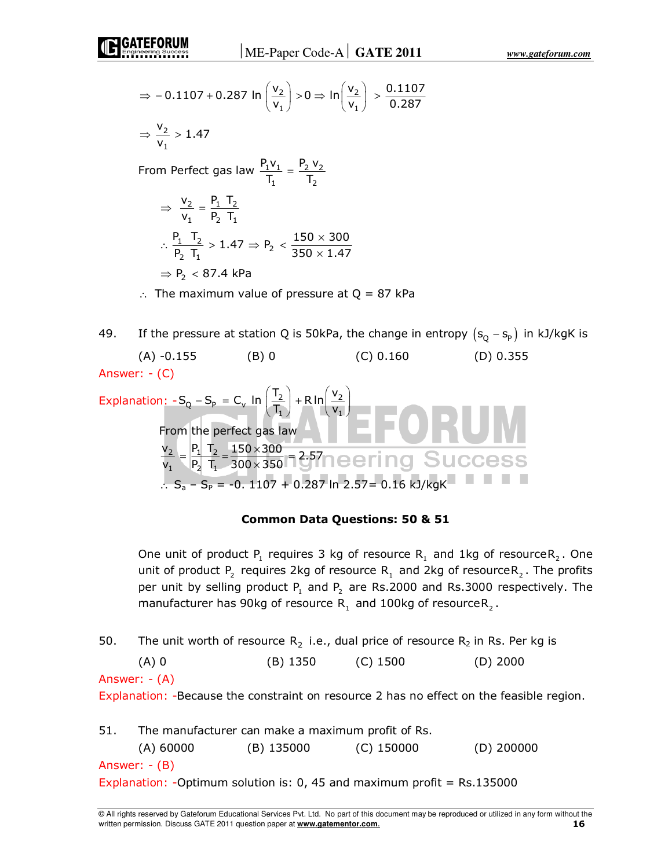$$
\Rightarrow -0.1107 + 0.287 \ln\left(\frac{v_2}{v_1}\right) > 0 \Rightarrow \ln\left(\frac{v_2}{v_1}\right) > \frac{0.1107}{0.287}
$$
\n
$$
\Rightarrow \frac{v_2}{v_1} > 1.47
$$
\nFrom Perfect gas law

\n
$$
\frac{P_1 v_1}{T_1} = \frac{P_2 v_2}{T_2}
$$
\n
$$
\Rightarrow \frac{v_2}{v_1} = \frac{P_1 T_2}{P_2 T_1}
$$
\n
$$
\therefore \frac{P_1 T_2}{P_2 T_1} > 1.47 \Rightarrow P_2 < \frac{150 \times 300}{350 \times 1.47}
$$
\n
$$
\Rightarrow P_2 < 87.4 \text{ kPa}
$$
\n
$$
\therefore \text{ The maximum value of pressure at Q = 87 kPa}
$$

49. If the pressure at station Q is 50kPa, the change in entropy  $(s_0 - s_P)$  in kJ/kgK is (A)  $-0.155$  (B) 0 (C) 0.160 (D) 0.355 Answer: - (C)

Explanation: 
$$
-S_Q - S_P = C_V \ln\left(\frac{T_2}{T_1}\right) + R \ln\left(\frac{V_2}{V_1}\right)
$$

\nFrom the perfect gas law

\n
$$
\frac{V_2}{V_1} = \frac{P_1 T_2}{P_2 T_1} = \frac{150 \times 300}{300 \times 350} = 2.57 \text{ N} \text{C} \text{C} \text{C} \text{C} \text{C} \text{C} \text{S}
$$
\n
$$
\therefore S_a - S_P = -0.1107 + 0.287 \ln 2.57 = 0.16 \text{ kJ/kgK}
$$

# **Common Data Questions: 50 & 51**

One unit of product  $P_1$  requires 3 kg of resource  $R_1$  and 1kg of resource $R_2$ . One unit of product  $P_2$  requires 2kg of resource  $R_1$  and 2kg of resource $R_2$ . The profits per unit by selling product  $P_1$  and  $P_2$  are Rs.2000 and Rs.3000 respectively. The manufacturer has 90kg of resource  $R_1$  and 100kg of resource $R_2$ .

50. The unit worth of resource  $R_2$  i.e., dual price of resource  $R_2$  in Rs. Per kg is (A) 0 (B) 1350 (C) 1500 (D) 2000 Answer: - (A) Explanation: -Because the constraint on resource 2 has no effect on the feasible region. 51. The manufacturer can make a maximum profit of Rs. (A) 60000 (B) 135000 (C) 150000 (D) 200000 Answer: - (B) Explanation: - Optimum solution is: 0, 45 and maximum profit =  $Rs.135000$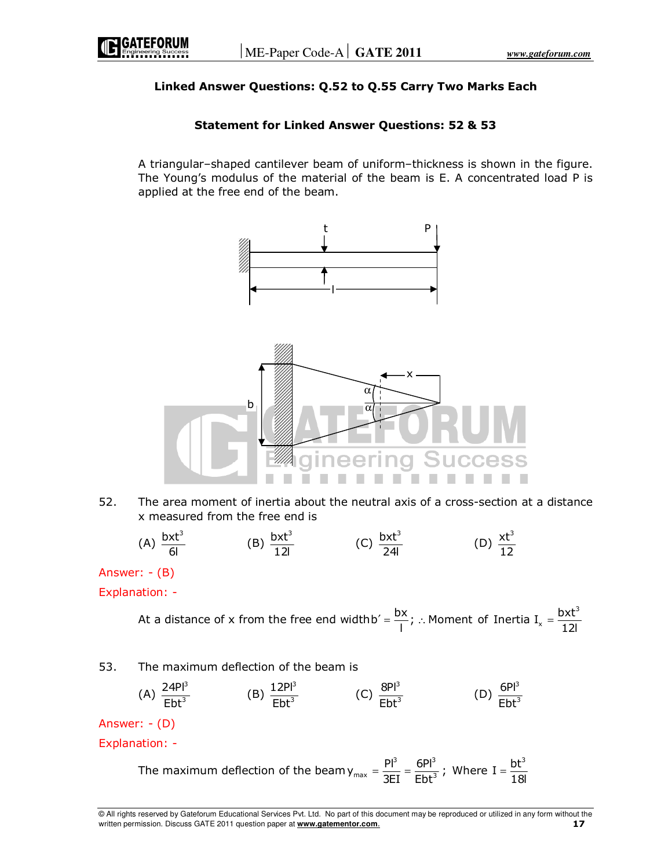### **Linked Answer Questions: Q.52 to Q.55 Carry Two Marks Each**

### **Statement for Linked Answer Questions: 52 & 53**

 A triangular–shaped cantilever beam of uniform–thickness is shown in the figure. The Young's modulus of the material of the beam is E. A concentrated load P is applied at the free end of the beam.



52. The area moment of inertia about the neutral axis of a cross-section at a distance x measured from the free end is

(A) 
$$
\frac{bxt^3}{6l}
$$
 (B)  $\frac{bxt^3}{12l}$  (C)  $\frac{bxt^3}{24l}$  (D)  $\frac{xt^3}{12}$ 

Answer: - (B)

Explanation: -

At a distance of x from the free end width 
$$
b' = \frac{bx}{l}
$$
;  $\therefore$  Moment of Inertia  $I_x = \frac{bxt^3}{12l}$ 

#### 53. The maximum deflection of the beam is

(A) 
$$
\frac{24PI^3}{Ebt^3}
$$
 (B)  $\frac{12PI^3}{Ebt^3}$  (C)  $\frac{8PI^3}{Ebt^3}$  (D)  $\frac{6PI^3}{Ebt^3}$ 

Answer: - (D)

Explanation: -

The maximum deflection of the beam 
$$
y_{max} = \frac{Pl^3}{3EI} = \frac{6Pl^3}{Ebt^3}
$$
; Where  $I = \frac{bt^3}{18I}$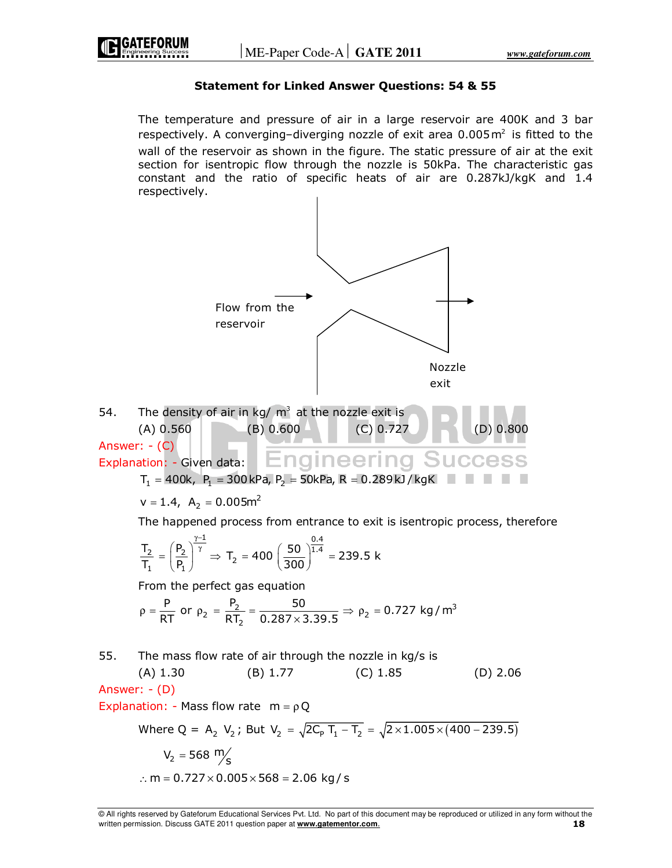#### **Statement for Linked Answer Questions: 54 & 55**

 The temperature and pressure of air in a large reservoir are 400K and 3 bar respectively. A converging-diverging nozzle of exit area  $0.005\,\mathrm{m}^2$  is fitted to the wall of the reservoir as shown in the figure. The static pressure of air at the exit section for isentropic flow through the nozzle is 50kPa. The characteristic gas constant and the ratio of specific heats of air are 0.287kJ/kgK and 1.4 respectively.



<sup>©</sup> All rights reserved by Gateforum Educational Services Pvt. Ltd. No part of this document may be reproduced or utilized in any form without the written permission. Discuss GATE 2011 question paper at **www.gatementor.com**. **18**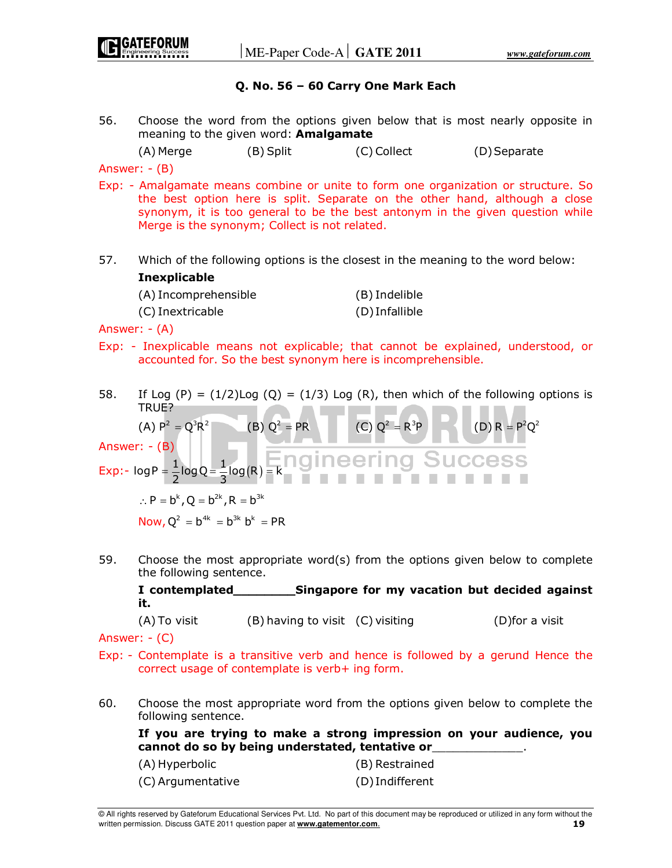#### **Q. No. 56 – 60 Carry One Mark Each**

56. Choose the word from the options given below that is most nearly opposite in meaning to the given word: **Amalgamate**

(A) Merge (B) Split (C) Collect (D) Separate

Answer: - (B)

- Exp: Amalgamate means combine or unite to form one organization or structure. So the best option here is split. Separate on the other hand, although a close synonym, it is too general to be the best antonym in the given question while Merge is the synonym; Collect is not related.
- 57. Which of the following options is the closest in the meaning to the word below: **Inexplicable**

| (A) Incomprehensible | (B) Indelible  |
|----------------------|----------------|
| (C) Inextricable     | (D) Infallible |

Answer: - (A)

- Exp: Inexplicable means not explicable; that cannot be explained, understood, or accounted for. So the best synonym here is incomprehensible.
- 58. If Log  $(P) = (1/2)$ Log  $(Q) = (1/3)$  Log  $(R)$ , then which of the following options is TRUE?

(A) 
$$
P^2 = Q^3 R^2
$$

\n(B)  $Q^2 = PR$ 

\n(C)  $Q^2 = R^3 P$ 

\n(D)  $R = P^2 Q^2$ 

\nAnswer:  $- (B)$ 

\nExp:  $\log P = \frac{1}{2} \log Q = \frac{1}{3} \log(R) = k$ 

\n(E)  $Q^2 = R^3 P$ 

\n(D)  $R = P^2 Q^2$ 

 $\therefore$  P = b<sup>k</sup>, Q = b<sup>2k</sup>, R = b<sup>3k</sup>

Now,  $Q^2 = b^{4k} = b^{3k} b^k = PR$ 

59. Choose the most appropriate word(s) from the options given below to complete the following sentence.

 **I contemplated\_\_\_\_\_\_\_\_Singapore for my vacation but decided against it.**

(A) To visit (B) having to visit (C) visiting (D)for a visit

Answer: - (C)

- Exp: Contemplate is a transitive verb and hence is followed by a gerund Hence the correct usage of contemplate is verb+ ing form.
- 60. Choose the most appropriate word from the options given below to complete the following sentence.

 **If you are trying to make a strong impression on your audience, you cannot do so by being understated, tentative or**\_\_\_\_\_\_\_\_\_\_\_\_\_.

| (A) Hyperbolic    | (B) Restrained |
|-------------------|----------------|
| (C) Argumentative | (D)Indifferent |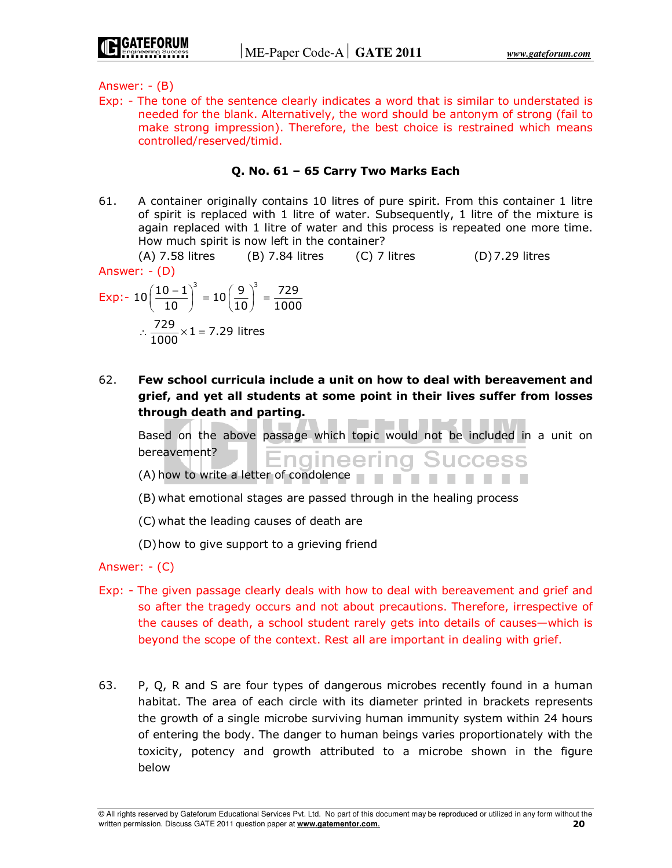Exp: - The tone of the sentence clearly indicates a word that is similar to understated is needed for the blank. Alternatively, the word should be antonym of strong (fail to make strong impression). Therefore, the best choice is restrained which means controlled/reserved/timid.

#### **Q. No. 61 – 65 Carry Two Marks Each**

61. A container originally contains 10 litres of pure spirit. From this container 1 litre of spirit is replaced with 1 litre of water. Subsequently, 1 litre of the mixture is again replaced with 1 litre of water and this process is repeated one more time. How much spirit is now left in the container?

 $(A)$  7.58 litres (B) 7.84 litres (C) 7 litres (D) 7.29 litres Answer: - (D)

Exp: 
$$
-10\left(\frac{10-1}{10}\right)^3 = 10\left(\frac{9}{10}\right)^3 = \frac{729}{1000}
$$
  
 $\therefore \frac{729}{1000} \times 1 = 7.29$  litres

62. **Few school curricula include a unit on how to deal with bereavement and grief, and yet all students at some point in their lives suffer from losses through death and parting.**

 Based on the above passage which topic would not be included in a unit on bereavement? **SUCCESS** -naineer

- (A) how to write a letter of condolence  $\blacksquare$
- (B) what emotional stages are passed through in the healing process

(C) what the leading causes of death are

(D) how to give support to a grieving friend

Answer: - (C)

- Exp: The given passage clearly deals with how to deal with bereavement and grief and so after the tragedy occurs and not about precautions. Therefore, irrespective of the causes of death, a school student rarely gets into details of causes—which is beyond the scope of the context. Rest all are important in dealing with grief.
- 63. P, Q, R and S are four types of dangerous microbes recently found in a human habitat. The area of each circle with its diameter printed in brackets represents the growth of a single microbe surviving human immunity system within 24 hours of entering the body. The danger to human beings varies proportionately with the toxicity, potency and growth attributed to a microbe shown in the figure below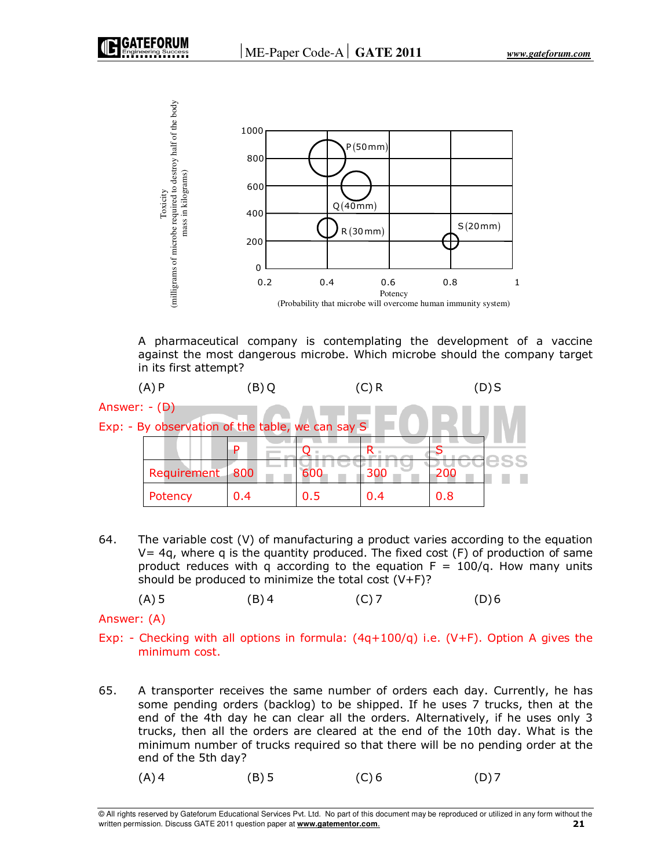

 A pharmaceutical company is contemplating the development of a vaccine against the most dangerous microbe. Which microbe should the company target in its first attempt?



64. The variable cost (V) of manufacturing a product varies according to the equation  $V= 4q$ , where q is the quantity produced. The fixed cost (F) of production of same product reduces with q according to the equation  $F = 100/q$ . How many units should be produced to minimize the total cost  $(V+F)$ ?

(A) 5 (B) 4 (C) 7 (D) 6

Answer: (A)

- Exp: Checking with all options in formula:  $(4q+100/q)$  i.e.  $(V+F)$ . Option A gives the minimum cost.
- 65. A transporter receives the same number of orders each day. Currently, he has some pending orders (backlog) to be shipped. If he uses 7 trucks, then at the end of the 4th day he can clear all the orders. Alternatively, if he uses only 3 trucks, then all the orders are cleared at the end of the 10th day. What is the minimum number of trucks required so that there will be no pending order at the end of the 5th day?
- $(A)$  4 (B) 5 (C) 6 (D) 7

<sup>©</sup> All rights reserved by Gateforum Educational Services Pvt. Ltd. No part of this document may be reproduced or utilized in any form without the written permission. Discuss GATE 2011 question paper at **www.gatementor.com**. **21**